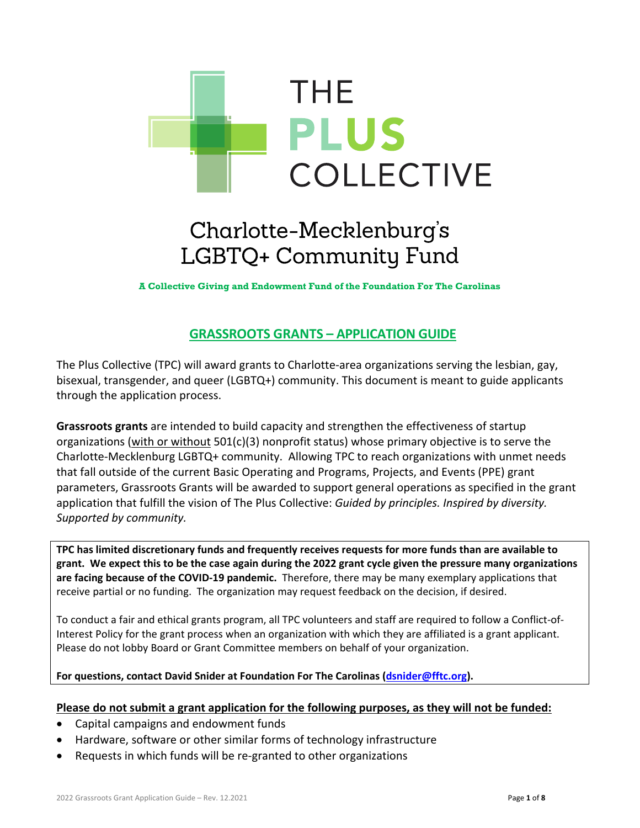

# Charlotte-Mecklenburg's LGBTQ+ Community Fund

**A Collective Giving and Endowment Fund of the Foundation For The Carolinas**

## **GRASSROOTS GRANTS – APPLICATION GUIDE**

The Plus Collective (TPC) will award grants to Charlotte-area organizations serving the lesbian, gay, bisexual, transgender, and queer (LGBTQ+) community. This document is meant to guide applicants through the application process.

**Grassroots grants** are intended to build capacity and strengthen the effectiveness of startup organizations (with or without 501(c)(3) nonprofit status) whose primary objective is to serve the Charlotte-Mecklenburg LGBTQ+ community. Allowing TPC to reach organizations with unmet needs that fall outside of the current Basic Operating and Programs, Projects, and Events (PPE) grant parameters, Grassroots Grants will be awarded to support general operations as specified in the grant application that fulfill the vision of The Plus Collective: *Guided by principles. Inspired by diversity. Supported by community.*

**TPC has limited discretionary funds and frequently receives requests for more funds than are available to grant. We expect this to be the case again during the 2022 grant cycle given the pressure many organizations are facing because of the COVID-19 pandemic.** Therefore, there may be many exemplary applications that receive partial or no funding. The organization may request feedback on the decision, if desired.

To conduct a fair and ethical grants program, all TPC volunteers and staff are required to follow a Conflict-of-Interest Policy for the grant process when an organization with which they are affiliated is a grant applicant. Please do not lobby Board or Grant Committee members on behalf of your organization.

### **For questions, contact David Snider at Foundation For The Carolinas [\(dsnider@fftc.org\)](mailto:dsnider@fftc.org).**

### **Please do not submit a grant application for the following purposes, as they will not be funded:**

- Capital campaigns and endowment funds
- Hardware, software or other similar forms of technology infrastructure
- Requests in which funds will be re-granted to other organizations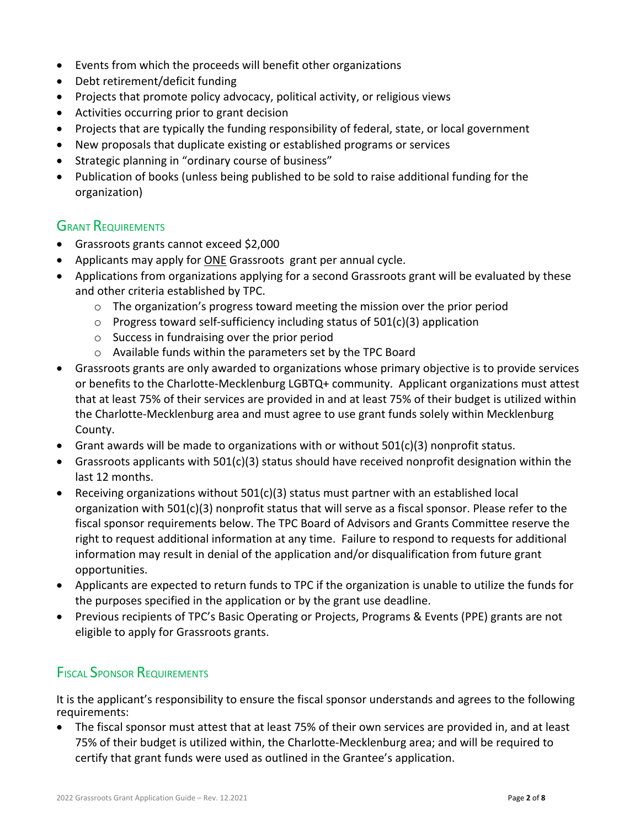- Events from which the proceeds will benefit other organizations
- Debt retirement/deficit funding
- Projects that promote policy advocacy, political activity, or religious views
- Activities occurring prior to grant decision
- Projects that are typically the funding responsibility of federal, state, or local government
- New proposals that duplicate existing or established programs or services
- Strategic planning in "ordinary course of business"
- Publication of books (unless being published to be sold to raise additional funding for the organization)

### **GRANT REQUIREMENTS**

- Grassroots grants cannot exceed \$2,000
- Applicants may apply for ONE Grassroots grant per annual cycle.
- Applications from organizations applying for a second Grassroots grant will be evaluated by these and other criteria established by TPC.
	- $\circ$  The organization's progress toward meeting the mission over the prior period
	- $\circ$  Progress toward self-sufficiency including status of 501(c)(3) application
	- o Success in fundraising over the prior period
	- o Available funds within the parameters set by the TPC Board
- Grassroots grants are only awarded to organizations whose primary objective is to provide services or benefits to the Charlotte-Mecklenburg LGBTQ+ community. Applicant organizations must attest that at least 75% of their services are provided in and at least 75% of their budget is utilized within the Charlotte-Mecklenburg area and must agree to use grant funds solely within Mecklenburg County.
- Grant awards will be made to organizations with or without  $501(c)(3)$  nonprofit status.
- Grassroots applicants with 501(c)(3) status should have received nonprofit designation within the last 12 months.
- Receiving organizations without  $501(c)(3)$  status must partner with an established local organization with 501(c)(3) nonprofit status that will serve as a fiscal sponsor. Please refer to the fiscal sponsor requirements below. The TPC Board of Advisors and Grants Committee reserve the right to request additional information at any time. Failure to respond to requests for additional information may result in denial of the application and/or disqualification from future grant opportunities.
- Applicants are expected to return funds to TPC if the organization is unable to utilize the funds for the purposes specified in the application or by the grant use deadline.
- Previous recipients of TPC's Basic Operating or Projects, Programs & Events (PPE) grants are not eligible to apply for Grassroots grants.

## **FISCAL SPONSOR REQUIREMENTS**

It is the applicant's responsibility to ensure the fiscal sponsor understands and agrees to the following requirements:

• The fiscal sponsor must attest that at least 75% of their own services are provided in, and at least 75% of their budget is utilized within, the Charlotte-Mecklenburg area; and will be required to certify that grant funds were used as outlined in the Grantee's application.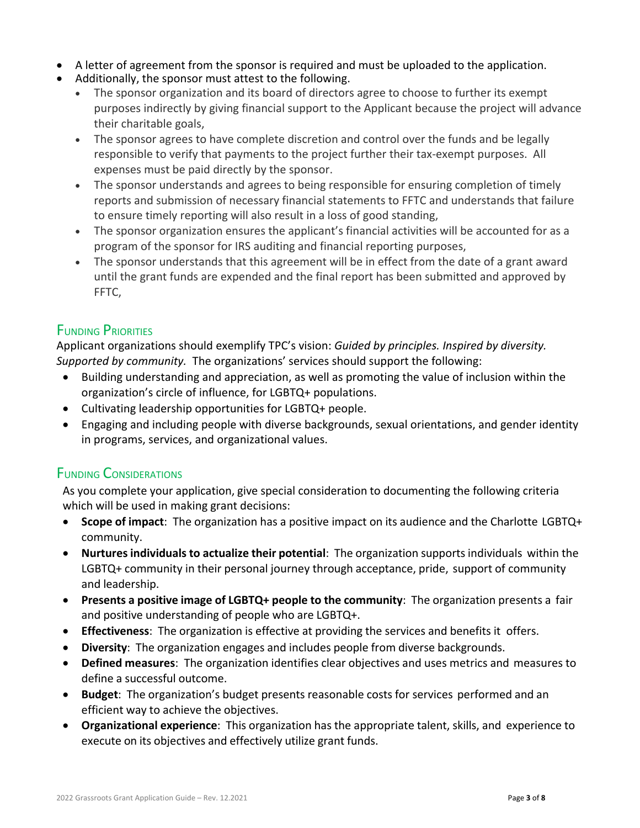- A letter of agreement from the sponsor is required and must be uploaded to the application.
- Additionally, the sponsor must attest to the following.
	- The sponsor organization and its board of directors agree to choose to further its exempt purposes indirectly by giving financial support to the Applicant because the project will advance their charitable goals,
	- The sponsor agrees to have complete discretion and control over the funds and be legally responsible to verify that payments to the project further their tax-exempt purposes. All expenses must be paid directly by the sponsor.
	- The sponsor understands and agrees to being responsible for ensuring completion of timely reports and submission of necessary financial statements to FFTC and understands that failure to ensure timely reporting will also result in a loss of good standing,
	- The sponsor organization ensures the applicant's financial activities will be accounted for as a program of the sponsor for IRS auditing and financial reporting purposes,
	- The sponsor understands that this agreement will be in effect from the date of a grant award until the grant funds are expended and the final report has been submitted and approved by FFTC,

### FUNDING PRIORITIES

Applicant organizations should exemplify TPC's vision: *Guided by principles. Inspired by diversity. Supported by community.* The organizations' services should support the following:

- Building understanding and appreciation, as well as promoting the value of inclusion within the organization's circle of influence, for LGBTQ+ populations.
- Cultivating leadership opportunities for LGBTQ+ people.
- Engaging and including people with diverse backgrounds, sexual orientations, and gender identity in programs, services, and organizational values.

### FUNDING CONSIDERATIONS

As you complete your application, give special consideration to documenting the following criteria which will be used in making grant decisions:

- **Scope of impact**: The organization has a positive impact on its audience and the Charlotte LGBTQ+ community.
- **Nurtures individuals to actualize their potential**: The organization supportsindividuals within the LGBTQ+ community in their personal journey through acceptance, pride, support of community and leadership.
- **Presents a positive image of LGBTQ+ people to the community**: The organization presents a fair and positive understanding of people who are LGBTQ+.
- **Effectiveness**: The organization is effective at providing the services and benefits it offers.
- **Diversity**: The organization engages and includes people from diverse backgrounds.
- **Defined measures**: The organization identifies clear objectives and uses metrics and measures to define a successful outcome.
- **Budget**: The organization's budget presents reasonable costs for services performed and an efficient way to achieve the objectives.
- **Organizational experience**: This organization has the appropriate talent, skills, and experience to execute on its objectives and effectively utilize grant funds.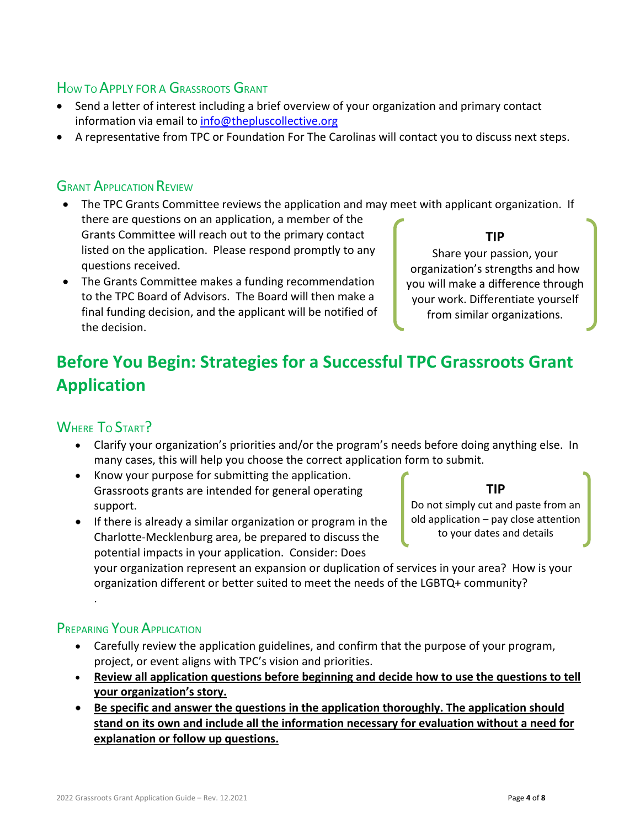### HOW TO APPLY FOR A GRASSROOTS GRANT

- Send a letter of interest including a brief overview of your organization and primary contact information via email to [info@thepluscollective.org](mailto:info@thepluscollective.org)
- A representative from TPC or Foundation For The Carolinas will contact you to discuss next steps.

### **GRANT APPLICATION REVIEW**

- The TPC Grants Committee reviews the application and may meet with applicant organization. If there are questions on an application, a member of the Grants Committee will reach out to the primary contact listed on the application. Please respond promptly to any questions received. **TIP** Share your passion, your
- The Grants Committee makes a funding recommendation to the TPC Board of Advisors. The Board will then make a final funding decision, and the applicant will be notified of the decision.

organization's strengths and how you will make a difference through your work. Differentiate yourself from similar organizations.

# **Before You Begin: Strategies for a Successful TPC Grassroots Grant Application**

## WHERE TO START?

- Clarify your organization's priorities and/or the program's needs before doing anything else. In many cases, this will help you choose the correct application form to submit.
- Know your purpose for submitting the application. Grassroots grants are intended for general operating support.
- If there is already a similar organization or program in the Charlotte-Mecklenburg area, be prepared to discuss the potential impacts in your application. Consider: Does

**TIP**

Do not simply cut and paste from an old application – pay close attention to your dates and details

your organization represent an expansion or duplication of services in your area? How is your organization different or better suited to meet the needs of the LGBTQ+ community?

## PREPARING YOUR APPLICATION

.

- Carefully review the application guidelines, and confirm that the purpose of your program, project, or event aligns with TPC's vision and priorities.
- **Review all application questions before beginning and decide how to use the questions to tell your organization's story.**
- **Be specific and answer the questions in the application thoroughly. The application should stand on its own and include all the information necessary for evaluation without a need for explanation or follow up questions.**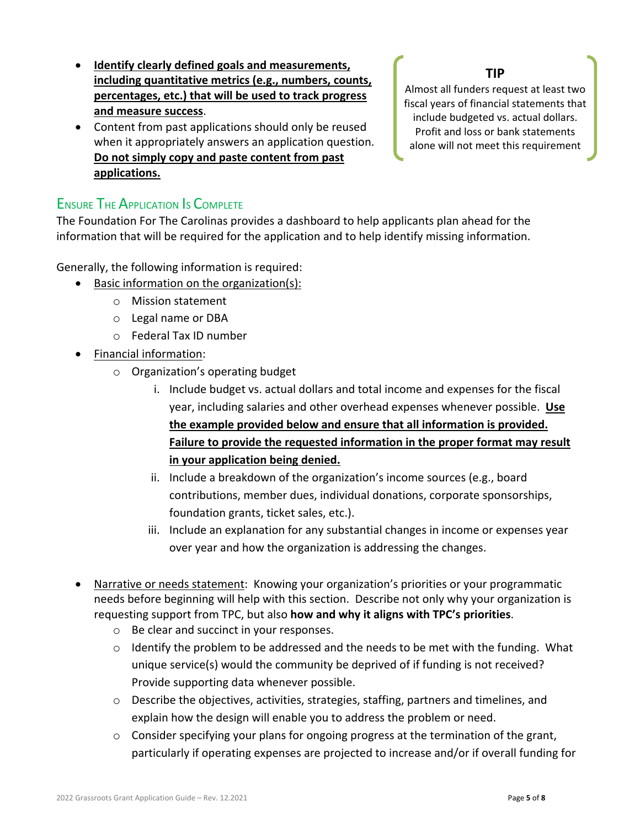- **Identify clearly defined goals and measurements, including quantitative metrics (e.g., numbers, counts, percentages, etc.) that will be used to track progress and measure success**.
- Content from past applications should only be reused when it appropriately answers an application question. **Do not simply copy and paste content from past applications.**

### **TIP**

Almost all funders request at least two fiscal years of financial statements that include budgeted vs. actual dollars. Profit and loss or bank statements alone will not meet this requirement

### ENSURE THE APPLICATION IS COMPLETE

The Foundation For The Carolinas provides a dashboard to help applicants plan ahead for the information that will be required for the application and to help identify missing information.

Generally, the following information is required:

- Basic information on the organization(s):
	- o Mission statement
	- o Legal name or DBA
	- o Federal Tax ID number
- Financial information:
	- o Organization's operating budget
		- i. Include budget vs. actual dollars and total income and expenses for the fiscal year, including salaries and other overhead expenses whenever possible. **Use the example provided below and ensure that all information is provided. Failure to provide the requested information in the proper format may result in your application being denied.**
		- ii. Include a breakdown of the organization's income sources (e.g., board contributions, member dues, individual donations, corporate sponsorships, foundation grants, ticket sales, etc.).
		- iii. Include an explanation for any substantial changes in income or expenses year over year and how the organization is addressing the changes.
- Narrative or needs statement: Knowing your organization's priorities or your programmatic needs before beginning will help with this section. Describe not only why your organization is requesting support from TPC, but also **how and why it aligns with TPC's priorities**.
	- o Be clear and succinct in your responses.
	- o Identify the problem to be addressed and the needs to be met with the funding. What unique service(s) would the community be deprived of if funding is not received? Provide supporting data whenever possible.
	- o Describe the objectives, activities, strategies, staffing, partners and timelines, and explain how the design will enable you to address the problem or need.
	- o Consider specifying your plans for ongoing progress at the termination of the grant, particularly if operating expenses are projected to increase and/or if overall funding for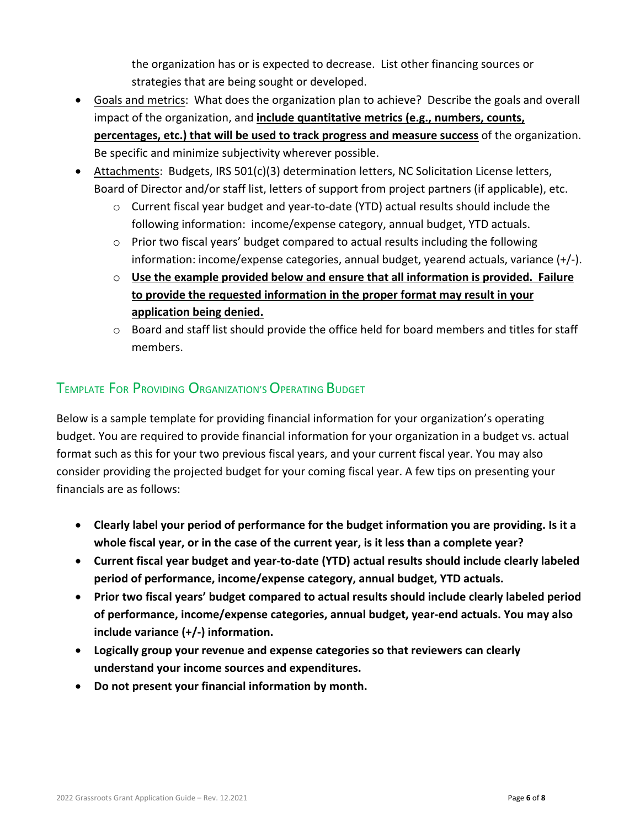the organization has or is expected to decrease. List other financing sources or strategies that are being sought or developed.

- Goals and metrics: What does the organization plan to achieve? Describe the goals and overall impact of the organization, and **include quantitative metrics (e.g., numbers, counts, percentages, etc.) that will be used to track progress and measure success** of the organization. Be specific and minimize subjectivity wherever possible.
- Attachments: Budgets, IRS 501(c)(3) determination letters, NC Solicitation License letters, Board of Director and/or staff list, letters of support from project partners (if applicable), etc.
	- o Current fiscal year budget and year-to-date (YTD) actual results should include the following information: income/expense category, annual budget, YTD actuals.
	- $\circ$  Prior two fiscal years' budget compared to actual results including the following information: income/expense categories, annual budget, yearend actuals, variance (+/-).
	- o **Use the example provided below and ensure that all information is provided. Failure to provide the requested information in the proper format may result in your application being denied.**
	- $\circ$  Board and staff list should provide the office held for board members and titles for staff members.

# TEMPLATE FOR PROVIDING ORGANIZATION'S OPERATING BUDGET

Below is a sample template for providing financial information for your organization's operating budget. You are required to provide financial information for your organization in a budget vs. actual format such as this for your two previous fiscal years, and your current fiscal year. You may also consider providing the projected budget for your coming fiscal year. A few tips on presenting your financials are as follows:

- **Clearly label your period of performance for the budget information you are providing. Is it a whole fiscal year, or in the case of the current year, is it less than a complete year?**
- **Current fiscal year budget and year-to-date (YTD) actual results should include clearly labeled period of performance, income/expense category, annual budget, YTD actuals.**
- **Prior two fiscal years' budget compared to actual results should include clearly labeled period of performance, income/expense categories, annual budget, year-end actuals. You may also include variance (+/-) information.**
- **Logically group your revenue and expense categories so that reviewers can clearly understand your income sources and expenditures.**
- **Do not present your financial information by month.**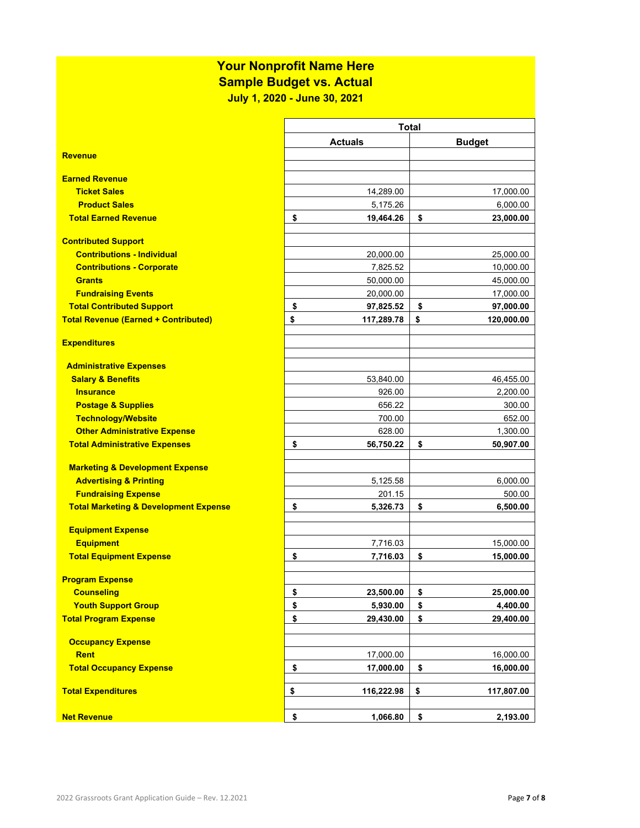# **Your Nonprofit Name Here**

**Sample Budget vs. Actual**

**July 1, 2020 - June 30, 2021**

|                                                                 | <b>Total</b>     |    |               |  |
|-----------------------------------------------------------------|------------------|----|---------------|--|
|                                                                 | <b>Actuals</b>   |    | <b>Budget</b> |  |
| <b>Revenue</b>                                                  |                  |    |               |  |
|                                                                 |                  |    |               |  |
| <b>Earned Revenue</b>                                           |                  |    |               |  |
| <b>Ticket Sales</b>                                             | 14,289.00        |    | 17,000.00     |  |
| <b>Product Sales</b>                                            | 5,175.26         |    | 6,000.00      |  |
| <b>Total Earned Revenue</b>                                     | \$<br>19,464.26  | \$ | 23,000.00     |  |
|                                                                 |                  |    |               |  |
| <b>Contributed Support</b><br><b>Contributions - Individual</b> | 20,000.00        |    | 25,000.00     |  |
| <b>Contributions - Corporate</b>                                | 7,825.52         |    | 10,000.00     |  |
| <b>Grants</b>                                                   | 50,000.00        |    | 45,000.00     |  |
| <b>Fundraising Events</b>                                       | 20,000.00        |    | 17,000.00     |  |
| <b>Total Contributed Support</b>                                | \$<br>97,825.52  | \$ | 97,000.00     |  |
| <b>Total Revenue (Earned + Contributed)</b>                     | \$<br>117,289.78 | \$ | 120,000.00    |  |
|                                                                 |                  |    |               |  |
| <b>Expenditures</b>                                             |                  |    |               |  |
|                                                                 |                  |    |               |  |
| <b>Administrative Expenses</b>                                  |                  |    |               |  |
| <b>Salary &amp; Benefits</b>                                    | 53,840.00        |    | 46,455.00     |  |
| <b>Insurance</b>                                                | 926.00           |    | 2,200.00      |  |
| <b>Postage &amp; Supplies</b>                                   | 656.22           |    | 300.00        |  |
| <b>Technology/Website</b>                                       | 700.00           |    | 652.00        |  |
| <b>Other Administrative Expense</b>                             | 628.00           |    | 1,300.00      |  |
| <b>Total Administrative Expenses</b>                            | \$<br>56,750.22  | \$ | 50,907.00     |  |
|                                                                 |                  |    |               |  |
| <b>Marketing &amp; Development Expense</b>                      |                  |    |               |  |
| <b>Advertising &amp; Printing</b>                               | 5,125.58         |    | 6,000.00      |  |
| <b>Fundraising Expense</b>                                      | 201.15           |    | 500.00        |  |
| <b>Total Marketing &amp; Development Expense</b>                | \$<br>5,326.73   | \$ | 6,500.00      |  |
| <b>Equipment Expense</b>                                        |                  |    |               |  |
| <b>Equipment</b>                                                | 7,716.03         |    | 15,000.00     |  |
| <b>Total Equipment Expense</b>                                  | \$<br>7,716.03   | \$ | 15,000.00     |  |
|                                                                 |                  |    |               |  |
| <b>Program Expense</b>                                          |                  |    |               |  |
| <b>Counseling</b>                                               | \$<br>23,500.00  | \$ | 25,000.00     |  |
| <b>Youth Support Group</b>                                      | \$<br>5,930.00   | \$ | 4,400.00      |  |
| <b>Total Program Expense</b>                                    | \$<br>29,430.00  | \$ | 29,400.00     |  |
|                                                                 |                  |    |               |  |
| <b>Occupancy Expense</b>                                        |                  |    |               |  |
| <b>Rent</b>                                                     | 17,000.00        |    | 16,000.00     |  |
| <b>Total Occupancy Expense</b>                                  | \$<br>17,000.00  | \$ | 16,000.00     |  |
| <b>Total Expenditures</b>                                       | \$               |    |               |  |
|                                                                 | 116,222.98       | \$ | 117,807.00    |  |
| <b>Net Revenue</b>                                              | \$<br>1,066.80   | \$ | 2,193.00      |  |
|                                                                 |                  |    |               |  |